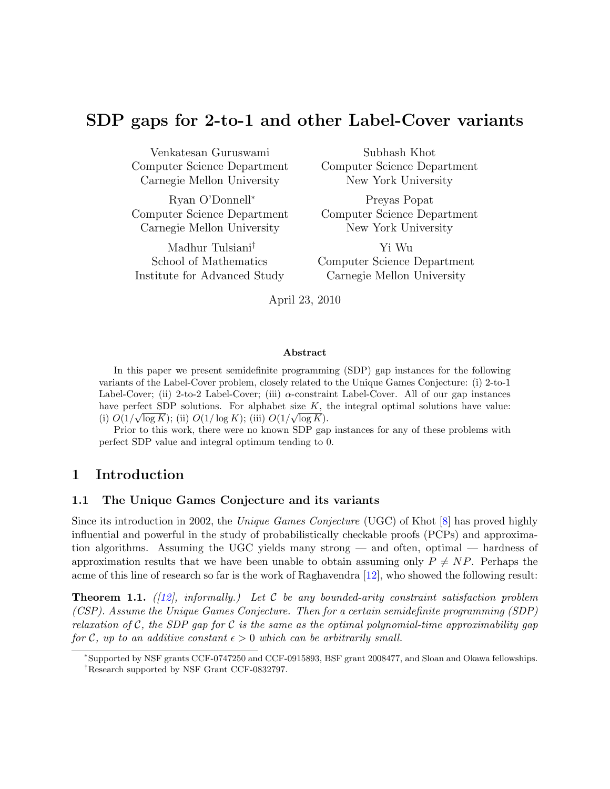# SDP gaps for 2-to-1 and other Label-Cover variants

Venkatesan Guruswami Computer Science Department Carnegie Mellon University

Ryan O'Donnell<sup>∗</sup> Computer Science Department Carnegie Mellon University

Madhur Tulsiani† School of Mathematics Institute for Advanced Study

Subhash Khot Computer Science Department New York University

Preyas Popat Computer Science Department New York University

Yi Wu Computer Science Department Carnegie Mellon University

April 23, 2010

#### Abstract

In this paper we present semidefinite programming (SDP) gap instances for the following variants of the Label-Cover problem, closely related to the Unique Games Conjecture: (i) 2-to-1 Label-Cover; (ii) 2-to-2 Label-Cover; (iii) α-constraint Label-Cover. All of our gap instances have perfect SDP solutions. For alphabet size K, the integral optimal solutions have value: (i)  $O(1/\sqrt{\log K})$ ; (ii)  $O(1/\log K)$ ; (iii)  $O(1/\sqrt{\log K})$ .

Prior to this work, there were no known SDP gap instances for any of these problems with perfect SDP value and integral optimum tending to 0.

# 1 Introduction

### 1.1 The Unique Games Conjecture and its variants

Since its introduction in 2002, the Unique Games Conjecture (UGC) of Khot [\[8\]](#page-13-0) has proved highly influential and powerful in the study of probabilistically checkable proofs (PCPs) and approximation algorithms. Assuming the UGC yields many strong — and often, optimal — hardness of approximation results that we have been unable to obtain assuming only  $P \neq NP$ . Perhaps the acme of this line of research so far is the work of Raghavendra [\[12\]](#page-13-1), who showed the following result:

**Theorem 1.1.** ([\[12\]](#page-13-1), informally.) Let C be any bounded-arity constraint satisfaction problem (CSP). Assume the Unique Games Conjecture. Then for a certain semidefinite programming (SDP) relaxation of C, the SDP gap for C is the same as the optimal polynomial-time approximability gap for C, up to an additive constant  $\epsilon > 0$  which can be arbitrarily small.

<sup>∗</sup>Supported by NSF grants CCF-0747250 and CCF-0915893, BSF grant 2008477, and Sloan and Okawa fellowships. †Research supported by NSF Grant CCF-0832797.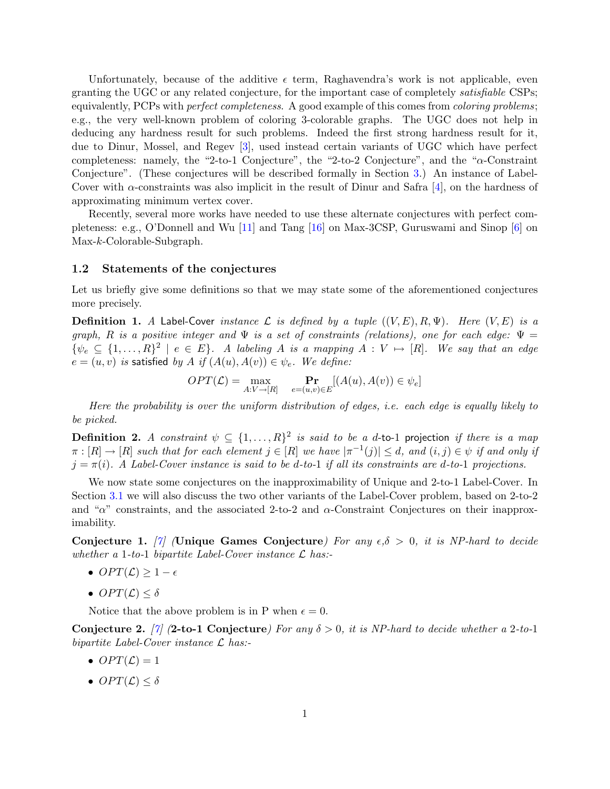Unfortunately, because of the additive  $\epsilon$  term, Raghavendra's work is not applicable, even granting the UGC or any related conjecture, for the important case of completely satisfiable CSPs; equivalently, PCPs with *perfect completeness*. A good example of this comes from *coloring problems*; e.g., the very well-known problem of coloring 3-colorable graphs. The UGC does not help in deducing any hardness result for such problems. Indeed the first strong hardness result for it, due to Dinur, Mossel, and Regev [\[3\]](#page-12-0), used instead certain variants of UGC which have perfect completeness: namely, the "2-to-1 Conjecture", the "2-to-2 Conjecture", and the "α-Constraint Conjecture". (These conjectures will be described formally in Section [3.](#page-3-0)) An instance of Label-Cover with  $\alpha$ -constraints was also implicit in the result of Dinur and Safra [\[4\]](#page-12-1), on the hardness of approximating minimum vertex cover.

Recently, several more works have needed to use these alternate conjectures with perfect completeness: e.g., O'Donnell and Wu [\[11\]](#page-13-2) and Tang [\[16\]](#page-13-3) on Max-3CSP, Guruswami and Sinop [\[6\]](#page-12-2) on Max-k-Colorable-Subgraph.

#### 1.2 Statements of the conjectures

Let us briefly give some definitions so that we may state some of the aforementioned conjectures more precisely.

**Definition 1.** A Label-Cover instance L is defined by a tuple  $((V, E), R, \Psi)$ . Here  $(V, E)$  is a graph, R is a positive integer and  $\Psi$  is a set of constraints (relations), one for each edge:  $\Psi =$  $\{\psi_e \subseteq \{1,\ldots,R\}^2 \mid e \in E\}$ . A labeling A is a mapping  $A: V \mapsto [R]$ . We say that an edge  $e = (u, v)$  is satisfied by A if  $(A(u), A(v)) \in \psi_e$ . We define:

$$
OPT(\mathcal{L}) = \max_{A:V \to [R]} \quad \mathbf{Pr}_{e = (u,v) \in E}[(A(u), A(v)) \in \psi_e]
$$

Here the probability is over the uniform distribution of edges, i.e. each edge is equally likely to be picked.

**Definition 2.** A constraint  $\psi \subseteq \{1, ..., R\}^2$  is said to be a d-to-1 projection if there is a map  $\pi : [R] \to [R]$  such that for each element  $j \in [R]$  we have  $|\pi^{-1}(j)| \leq d$ , and  $(i, j) \in \psi$  if and only if  $j = \pi(i)$ . A Label-Cover instance is said to be d-to-1 if all its constraints are d-to-1 projections.

We now state some conjectures on the inapproximability of Unique and 2-to-1 Label-Cover. In Section [3.1](#page-3-1) we will also discuss the two other variants of the Label-Cover problem, based on 2-to-2 and " $\alpha$ " constraints, and the associated 2-to-2 and  $\alpha$ -Constraint Conjectures on their inapproximability.

Conjecture 1. [\[7\]](#page-12-3) (Unique Games Conjecture) For any  $\epsilon, \delta > 0$ , it is NP-hard to decide whether a 1-to-1 bipartite Label-Cover instance  $\mathcal L$  has:-

- OPT $(\mathcal{L}) \geq 1 \epsilon$
- OPT $(\mathcal{L}) \leq \delta$

Notice that the above problem is in P when  $\epsilon = 0$ .

Conjecture 2. [\[7\]](#page-12-3) (2-to-1 Conjecture) For any  $\delta > 0$ , it is NP-hard to decide whether a 2-to-1 bipartite Label-Cover instance  $\mathcal L$  has:-

- OPT $(\mathcal{L}) = 1$
- OPT $(\mathcal{L}) \leq \delta$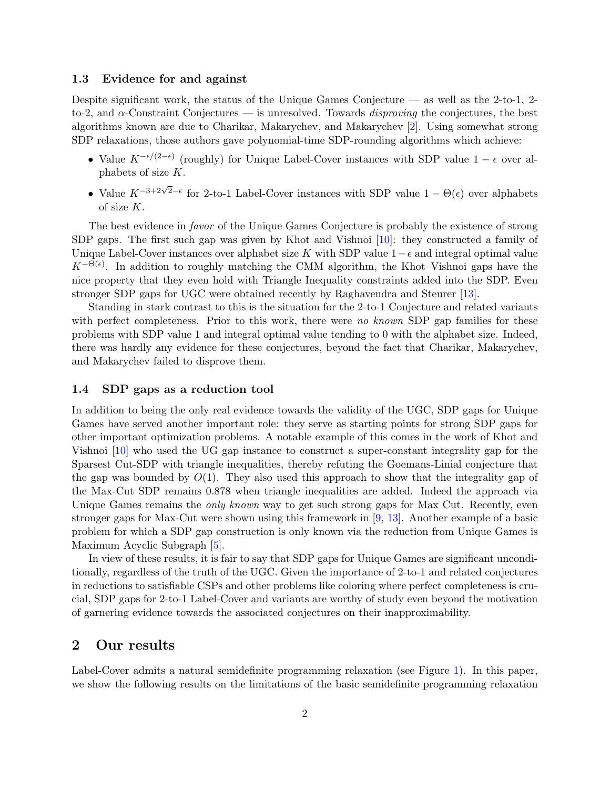### 1.3 Evidence for and against

Despite significant work, the status of the Unique Games Conjecture — as well as the 2-to-1, 2 to-2, and  $\alpha$ -Constraint Conjectures — is unresolved. Towards *disproving* the conjectures, the best algorithms known are due to Charikar, Makarychev, and Makarychev [\[2\]](#page-12-4). Using somewhat strong SDP relaxations, those authors gave polynomial-time SDP-rounding algorithms which achieve:

- Value  $K^{-\epsilon/(2-\epsilon)}$  (roughly) for Unique Label-Cover instances with SDP value  $1-\epsilon$  over alphabets of size K.
- Value  $K^{-3+2\sqrt{2}-\epsilon}$  for 2-to-1 Label-Cover instances with SDP value  $1-\Theta(\epsilon)$  over alphabets of size K.

The best evidence in favor of the Unique Games Conjecture is probably the existence of strong SDP gaps. The first such gap was given by Khot and Vishnoi [\[10\]](#page-13-4): they constructed a family of Unique Label-Cover instances over alphabet size K with SDP value  $1-\epsilon$  and integral optimal value  $K^{-\Theta(\epsilon)}$ . In addition to roughly matching the CMM algorithm, the Khot–Vishnoi gaps have the nice property that they even hold with Triangle Inequality constraints added into the SDP. Even stronger SDP gaps for UGC were obtained recently by Raghavendra and Steurer [\[13\]](#page-13-5).

Standing in stark contrast to this is the situation for the 2-to-1 Conjecture and related variants with perfect completeness. Prior to this work, there were no known SDP gap families for these problems with SDP value 1 and integral optimal value tending to 0 with the alphabet size. Indeed, there was hardly any evidence for these conjectures, beyond the fact that Charikar, Makarychev, and Makarychev failed to disprove them.

### 1.4 SDP gaps as a reduction tool

In addition to being the only real evidence towards the validity of the UGC, SDP gaps for Unique Games have served another important role: they serve as starting points for strong SDP gaps for other important optimization problems. A notable example of this comes in the work of Khot and Vishnoi [\[10\]](#page-13-4) who used the UG gap instance to construct a super-constant integrality gap for the Sparsest Cut-SDP with triangle inequalities, thereby refuting the Goemans-Linial conjecture that the gap was bounded by  $O(1)$ . They also used this approach to show that the integrality gap of the Max-Cut SDP remains 0.878 when triangle inequalities are added. Indeed the approach via Unique Games remains the *only known* way to get such strong gaps for Max Cut. Recently, even stronger gaps for Max-Cut were shown using this framework in [\[9,](#page-13-6) [13\]](#page-13-5). Another example of a basic problem for which a SDP gap construction is only known via the reduction from Unique Games is Maximum Acyclic Subgraph [\[5\]](#page-12-5).

In view of these results, it is fair to say that SDP gaps for Unique Games are significant unconditionally, regardless of the truth of the UGC. Given the importance of 2-to-1 and related conjectures in reductions to satisfiable CSPs and other problems like coloring where perfect completeness is crucial, SDP gaps for 2-to-1 Label-Cover and variants are worthy of study even beyond the motivation of garnering evidence towards the associated conjectures on their inapproximability.

# 2 Our results

Label-Cover admits a natural semidefinite programming relaxation (see Figure [1\)](#page-4-0). In this paper, we show the following results on the limitations of the basic semidefinite programming relaxation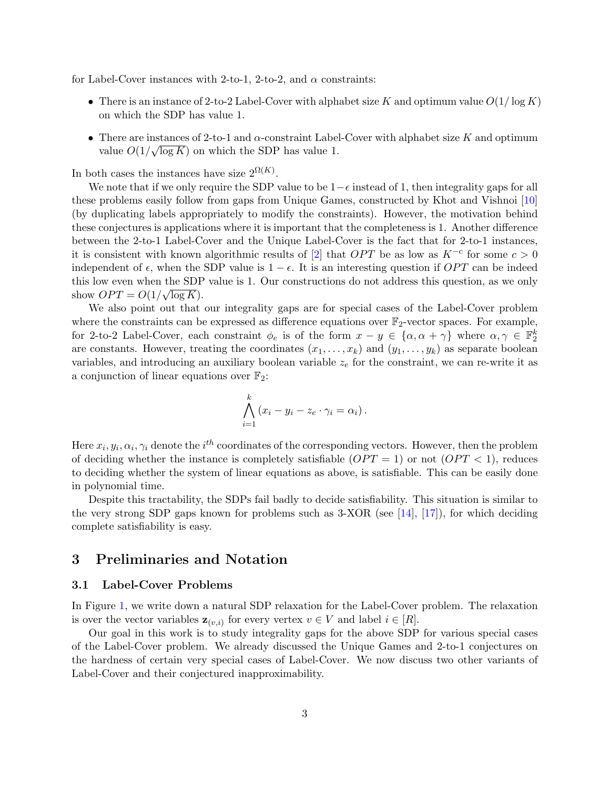for Label-Cover instances with 2-to-1, 2-to-2, and  $\alpha$  constraints:

- There is an instance of 2-to-2 Label-Cover with alphabet size K and optimum value  $O(1/\log K)$ on which the SDP has value 1.
- There are instances of 2-to-1 and  $\alpha$ -constraint Label-Cover with alphabet size K and optimum value  $O(1/\sqrt{\log K})$  on which the SDP has value 1.

In both cases the instances have size  $2^{\Omega(K)}$ .

We note that if we only require the SDP value to be  $1-\epsilon$  instead of 1, then integrality gaps for all these problems easily follow from gaps from Unique Games, constructed by Khot and Vishnoi [\[10\]](#page-13-4) (by duplicating labels appropriately to modify the constraints). However, the motivation behind these conjectures is applications where it is important that the completeness is 1. Another difference between the 2-to-1 Label-Cover and the Unique Label-Cover is the fact that for 2-to-1 instances, it is consistent with known algorithmic results of [\[2\]](#page-12-4) that  $OPT$  be as low as  $K^{-c}$  for some  $c > 0$ independent of  $\epsilon$ , when the SDP value is  $1 - \epsilon$ . It is an interesting question if *OPT* can be indeed this low even when the SDP value is 1. Our constructions do not address this question, as we only show  $OPT = O(1/\sqrt{\log K})$ .

We also point out that our integrality gaps are for special cases of the Label-Cover problem where the constraints can be expressed as difference equations over  $\mathbb{F}_2$ -vector spaces. For example, for 2-to-2 Label-Cover, each constraint  $\phi_e$  is of the form  $x - y \in \{\alpha, \alpha + \gamma\}$  where  $\alpha, \gamma \in \mathbb{F}_2^k$ are constants. However, treating the coordinates  $(x_1, \ldots, x_k)$  and  $(y_1, \ldots, y_k)$  as separate boolean variables, and introducing an auxiliary boolean variable  $z_e$  for the constraint, we can re-write it as a conjunction of linear equations over  $\mathbb{F}_2$ :

$$
\bigwedge_{i=1}^k (x_i - y_i - z_e \cdot \gamma_i = \alpha_i).
$$

Here  $x_i, y_i, \alpha_i, \gamma_i$  denote the  $i^{th}$  coordinates of the corresponding vectors. However, then the problem of deciding whether the instance is completely satisfiable  $(OPT = 1)$  or not  $(OPT < 1)$ , reduces to deciding whether the system of linear equations as above, is satisfiable. This can be easily done in polynomial time.

Despite this tractability, the SDPs fail badly to decide satisfiability. This situation is similar to the very strong SDP gaps known for problems such as  $3-XOR$  (see [\[14\]](#page-13-7), [\[17\]](#page-13-8)), for which deciding complete satisfiability is easy.

# <span id="page-3-0"></span>3 Preliminaries and Notation

### <span id="page-3-1"></span>3.1 Label-Cover Problems

In Figure [1,](#page-4-0) we write down a natural SDP relaxation for the Label-Cover problem. The relaxation is over the vector variables  $\mathbf{z}_{(v,i)}$  for every vertex  $v \in V$  and label  $i \in [R]$ .

Our goal in this work is to study integrality gaps for the above SDP for various special cases of the Label-Cover problem. We already discussed the Unique Games and 2-to-1 conjectures on the hardness of certain very special cases of Label-Cover. We now discuss two other variants of Label-Cover and their conjectured inapproximability.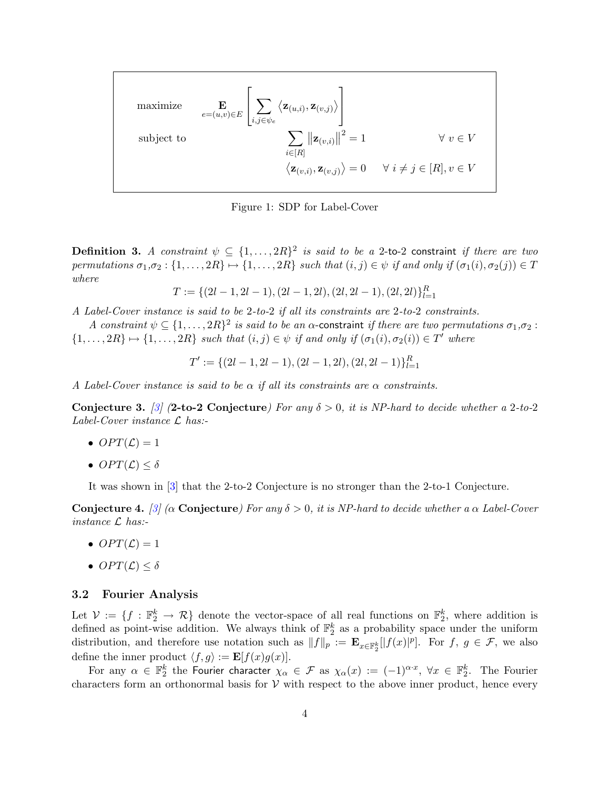$$
\begin{aligned}\n\text{maximize} & \quad \mathbf{E}_{e=(u,v)\in E}\left[\sum_{i,j\in\psi_e}\left\langle\mathbf{z}_{(u,i)},\mathbf{z}_{(v,j)}\right\rangle\right] \\
\text{subject to} & \quad \sum_{i\in[R]}\left\|\mathbf{z}_{(v,i)}\right\|^2=1 & \forall \; v\in V \\
&\quad \left\langle\mathbf{z}_{(v,i)},\mathbf{z}_{(v,j)}\right\rangle=0 & \quad \forall \; i\neq j\in[R], v\in V\n\end{aligned}
$$

<span id="page-4-0"></span>Figure 1: SDP for Label-Cover

**Definition 3.** A constraint  $\psi \subseteq \{1, ..., 2R\}^2$  is said to be a 2-to-2 constraint if there are two permutations  $\sigma_1, \sigma_2 : \{1, \ldots, 2R\} \mapsto \{1, \ldots, 2R\}$  such that  $(i, j) \in \psi$  if and only if  $(\sigma_1(i), \sigma_2(j)) \in T$ where

$$
T := \{ (2l - 1, 2l - 1), (2l - 1, 2l), (2l, 2l - 1), (2l, 2l) \}_{l=1}^{R}
$$

A Label-Cover instance is said to be 2-to-2 if all its constraints are 2-to-2 constraints.

A constraint  $\psi \subseteq \{1, \ldots, 2R\}^2$  is said to be an  $\alpha$ -constraint if there are two permutations  $\sigma_1, \sigma_2$ :  $\{1, \ldots, 2R\} \mapsto \{1, \ldots, 2R\}$  such that  $(i, j) \in \psi$  if and only if  $(\sigma_1(i), \sigma_2(i)) \in T'$  where

$$
T' := \{ (2l - 1, 2l - 1), (2l - 1, 2l), (2l, 2l - 1) \}_{l = 1}^{R}
$$

A Label-Cover instance is said to be  $\alpha$  if all its constraints are  $\alpha$  constraints.

Conjecture 3. [\[3\]](#page-12-0) (2-to-2 Conjecture) For any  $\delta > 0$ , it is NP-hard to decide whether a 2-to-2 Label-Cover instance  $\mathcal L$  has:-

- $OPT(\mathcal{L}) = 1$
- OPT $(\mathcal{L}) < \delta$

It was shown in [\[3\]](#page-12-0) that the 2-to-2 Conjecture is no stronger than the 2-to-1 Conjecture.

**Conjecture 4.** [\[3\]](#page-12-0) ( $\alpha$  Conjecture) For any  $\delta > 0$ , it is NP-hard to decide whether a  $\alpha$  Label-Cover instance  $\mathcal L$  has:-

- OPT $(\mathcal{L}) = 1$
- OPT $(\mathcal{L}) < \delta$

#### 3.2 Fourier Analysis

Let  $V := \{f : \mathbb{F}_2^k \to \mathcal{R}\}\$  denote the vector-space of all real functions on  $\mathbb{F}_2^k$ , where addition is defined as point-wise addition. We always think of  $\mathbb{F}_2^k$  as a probability space under the uniform distribution, and therefore use notation such as  $||f||_p := \mathbf{E}_{x \in \mathbb{F}_2^k} [|f(x)|^p]$ . For  $f, g \in \mathcal{F}$ , we also define the inner product  $\langle f, g \rangle := \mathbf{E}[f(x)g(x)].$ 

For any  $\alpha \in \mathbb{F}_2^k$  the Fourier character  $\chi_{\alpha} \in \mathcal{F}$  as  $\chi_{\alpha}(x) := (-1)^{\alpha \cdot x}$ ,  $\forall x \in \mathbb{F}_2^k$ . The Fourier characters form an orthonormal basis for  $V$  with respect to the above inner product, hence every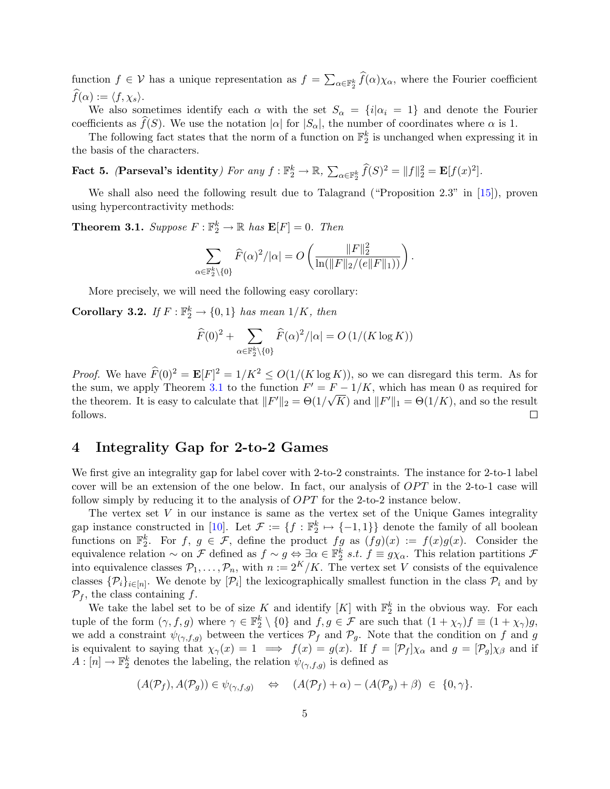function  $f \in V$  has a unique representation as  $f = \sum_{\alpha \in \mathbb{F}_2^k} \tilde{f}(\alpha) \chi_\alpha$ , where the Fourier coefficient  $f(\alpha) := \langle f, \chi_s \rangle$ .

We also sometimes identify each  $\alpha$  with the set  $S_{\alpha} = \{i | \alpha_i = 1\}$  and denote the Fourier coefficients as  $f(S)$ . We use the notation  $|\alpha|$  for  $|S_{\alpha}|$ , the number of coordinates where  $\alpha$  is 1.

The following fact states that the norm of a function on  $\mathbb{F}_2^k$  is unchanged when expressing it in the basis of the characters.

Fact 5. (Parseval's identity) For any  $f: \mathbb{F}_2^k \to \mathbb{R}, \sum_{\alpha \in \mathbb{F}_2^k} \widehat{f}(S)^2 = ||f||_2^2 = \mathbb{E}[f(x)^2].$ 

We shall also need the following result due to Talagrand ("Proposition 2.3" in [\[15\]](#page-13-9)), proven using hypercontractivity methods:

<span id="page-5-0"></span>**Theorem 3.1.** Suppose  $F : \mathbb{F}_2^k \to \mathbb{R}$  has  $\mathbf{E}[F] = 0$ . Then

$$
\sum_{\alpha \in \mathbb{F}_2^k \setminus \{0\}} \widehat{F}(\alpha)^2 / |\alpha| = O\left(\frac{\|F\|_2^2}{\ln(\|F\|_2 / (e \|F\|_1))}\right).
$$

More precisely, we will need the following easy corollary:

<span id="page-5-1"></span>**Corollary 3.2.** If  $F : \mathbb{F}_2^k \to \{0, 1\}$  has mean  $1/K$ , then

α∈F

$$
\widehat{F}(0)^{2} + \sum_{\alpha \in \mathbb{F}_{2}^{k} \setminus \{0\}} \widehat{F}(\alpha)^{2} / |\alpha| = O\left(1/(K \log K)\right)
$$

*Proof.* We have  $\widehat{F}(0)^2 = \mathbf{E}[F]^2 = 1/K^2 \leq O(1/(K \log K))$ , so we can disregard this term. As for the sum, we apply Theorem [3.1](#page-5-0) to the function  $F' = F - 1/K$ , which has mean 0 as required for the theorem. It is easy to calculate that  $||F'||_2 = \Theta(1/\sqrt{K})$  and  $||F'||_1 = \Theta(1/K)$ , and so the result follows.  $\Box$ 

# <span id="page-5-2"></span>4 Integrality Gap for 2-to-2 Games

We first give an integrality gap for label cover with 2-to-2 constraints. The instance for 2-to-1 label cover will be an extension of the one below. In fact, our analysis of  $OPT$  in the 2-to-1 case will follow simply by reducing it to the analysis of  $OPT$  for the 2-to-2 instance below.

The vertex set  $V$  in our instance is same as the vertex set of the Unique Games integrality gap instance constructed in [\[10\]](#page-13-4). Let  $\mathcal{F} := \{f : \mathbb{F}_2^k \mapsto \{-1,1\}\}\$  denote the family of all boolean functions on  $\mathbb{F}_2^k$ . For  $f, g \in \mathcal{F}$ , define the product  $fg$  as  $(fg)(x) := f(x)g(x)$ . Consider the equivalence relation  $\sim$  on F defined as  $f \sim g \Leftrightarrow \exists \alpha \in \mathbb{F}_2^k$  s.t.  $f \equiv g \chi_\alpha$ . This relation partitions F into equivalence classes  $\mathcal{P}_1,\ldots,\mathcal{P}_n$ , with  $n := 2^K/K$ . The vertex set V consists of the equivalence classes  $\{\mathcal{P}_i\}_{i\in[n]}$ . We denote by  $[\mathcal{P}_i]$  the lexicographically smallest function in the class  $\mathcal{P}_i$  and by  $\mathcal{P}_f$ , the class containing f.

We take the label set to be of size K and identify  $[K]$  with  $\mathbb{F}_2^k$  in the obvious way. For each tuple of the form  $(\gamma, f, g)$  where  $\gamma \in \mathbb{F}_2^k \setminus \{0\}$  and  $f, g \in \mathcal{F}$  are such that  $(1 + \chi_{\gamma})f \equiv (1 + \chi_{\gamma})g$ , we add a constraint  $\psi_{(\gamma,f,g)}$  between the vertices  $\mathcal{P}_f$  and  $\mathcal{P}_g$ . Note that the condition on f and g is equivalent to saying that  $\chi_{\gamma}(x) = 1 \implies f(x) = g(x)$ . If  $f = [\mathcal{P}_f] \chi_{\alpha}$  and  $g = [\mathcal{P}_g] \chi_{\beta}$  and if  $A: [n] \to \mathbb{F}_2^k$  denotes the labeling, the relation  $\psi_{(\gamma, f, g)}$  is defined as

$$
(A(\mathcal{P}_f), A(\mathcal{P}_g)) \in \psi_{(\gamma, f, g)} \quad \Leftrightarrow \quad (A(\mathcal{P}_f) + \alpha) - (A(\mathcal{P}_g) + \beta) \in \{0, \gamma\}.
$$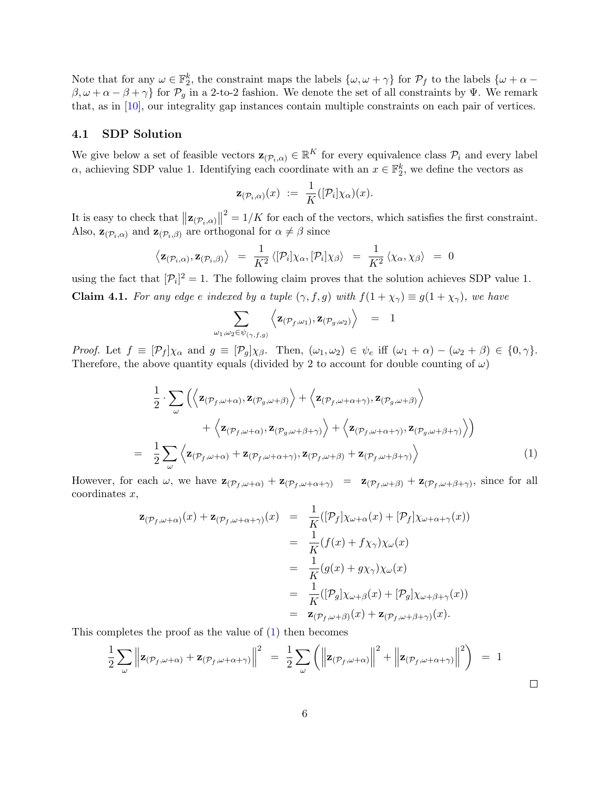Note that for any  $\omega \in \mathbb{F}_2^k$ , the constraint maps the labels  $\{\omega, \omega + \gamma\}$  for  $\mathcal{P}_f$  to the labels  $\{\omega + \alpha - \gamma\}$  $\beta, \omega + \alpha - \beta + \gamma$  for  $\mathcal{P}_q$  in a 2-to-2 fashion. We denote the set of all constraints by  $\Psi$ . We remark that, as in [\[10\]](#page-13-4), our integrality gap instances contain multiple constraints on each pair of vertices.

### 4.1 SDP Solution

We give below a set of feasible vectors  $\mathbf{z}_{(\mathcal{P}_i,\alpha)} \in \mathbb{R}^K$  for every equivalence class  $\mathcal{P}_i$  and every label  $\alpha$ , achieving SDP value 1. Identifying each coordinate with an  $x \in \mathbb{F}_2^k$ , we define the vectors as

$$
\mathbf{z}_{(\mathcal{P}_i,\alpha)}(x) \; := \; \frac{1}{K}([\mathcal{P}_i]\chi_\alpha)(x).
$$

It is easy to check that  $||\mathbf{z}_{(\mathcal{P}_i,\alpha)}||^2 = 1/K$  for each of the vectors, which satisfies the first constraint. Also,  $\mathbf{z}_{(\mathcal{P}_i,\alpha)}$  and  $\mathbf{z}_{(\mathcal{P}_i,\beta)}$  are orthogonal for  $\alpha \neq \beta$  since

$$
\langle \mathbf{z}_{(\mathcal{P}_i,\alpha)}, \mathbf{z}_{(\mathcal{P}_i,\beta)} \rangle = \frac{1}{K^2} \langle [\mathcal{P}_i] \chi_{\alpha}, [\mathcal{P}_i] \chi_{\beta} \rangle = \frac{1}{K^2} \langle \chi_{\alpha}, \chi_{\beta} \rangle = 0
$$

using the fact that  $[\mathcal{P}_i]^2 = 1$ . The following claim proves that the solution achieves SDP value 1. **Claim 4.1.** For any edge e indexed by a tuple  $(\gamma, f, g)$  with  $f(1 + \chi_{\gamma}) \equiv g(1 + \chi_{\gamma})$ , we have

$$
\sum_{\omega_1,\omega_2 \in \psi_{(\gamma,f,g)}} \left\langle \mathbf{z}_{(\mathcal{P}_f,\omega_1)},\mathbf{z}_{(\mathcal{P}_g,\omega_2)} \right\rangle = 1
$$

Proof. Let  $f \equiv [\mathcal{P}_f] \chi_\alpha$  and  $g \equiv [\mathcal{P}_g] \chi_\beta$ . Then,  $(\omega_1, \omega_2) \in \psi_e$  iff  $(\omega_1 + \alpha) - (\omega_2 + \beta) \in \{0, \gamma\}.$ Therefore, the above quantity equals (divided by 2 to account for double counting of  $\omega$ )

$$
\frac{1}{2} \cdot \sum_{\omega} \left( \left\langle \mathbf{z}_{(\mathcal{P}_f, \omega + \alpha)}, \mathbf{z}_{(\mathcal{P}_g, \omega + \beta)} \right\rangle + \left\langle \mathbf{z}_{(\mathcal{P}_f, \omega + \alpha + \gamma)}, \mathbf{z}_{(\mathcal{P}_g, \omega + \beta)} \right\rangle \n+ \left\langle \mathbf{z}_{(\mathcal{P}_f, \omega + \alpha)}, \mathbf{z}_{(\mathcal{P}_g, \omega + \beta + \gamma)} \right\rangle + \left\langle \mathbf{z}_{(\mathcal{P}_f, \omega + \alpha + \gamma)}, \mathbf{z}_{(\mathcal{P}_g, \omega + \beta + \gamma)} \right\rangle \right) \n= \frac{1}{2} \sum_{\omega} \left\langle \mathbf{z}_{(\mathcal{P}_f, \omega + \alpha)} + \mathbf{z}_{(\mathcal{P}_f, \omega + \alpha + \gamma)}, \mathbf{z}_{(\mathcal{P}_f, \omega + \beta)} + \mathbf{z}_{(\mathcal{P}_f, \omega + \beta + \gamma)} \right\rangle
$$
\n(1)

However, for each  $\omega$ , we have  $\mathbf{z}_{(\mathcal{P}_f,\omega+\alpha)} + \mathbf{z}_{(\mathcal{P}_f,\omega+\alpha+\gamma)} = \mathbf{z}_{(\mathcal{P}_f,\omega+\beta)} + \mathbf{z}_{(\mathcal{P}_f,\omega+\beta+\gamma)}$ , since for all coordinates x,

$$
\mathbf{z}_{(\mathcal{P}_f,\omega+\alpha)}(x) + \mathbf{z}_{(\mathcal{P}_f,\omega+\alpha+\gamma)}(x) = \frac{1}{K}([\mathcal{P}_f]\chi_{\omega+\alpha}(x) + [\mathcal{P}_f]\chi_{\omega+\alpha+\gamma}(x))
$$
  
\n
$$
= \frac{1}{K}(f(x) + f\chi_{\gamma})\chi_{\omega}(x)
$$
  
\n
$$
= \frac{1}{K}(g(x) + g\chi_{\gamma})\chi_{\omega}(x)
$$
  
\n
$$
= \frac{1}{K}([\mathcal{P}_g]\chi_{\omega+\beta}(x) + [\mathcal{P}_g]\chi_{\omega+\beta+\gamma}(x))
$$
  
\n
$$
= \mathbf{z}_{(\mathcal{P}_f,\omega+\beta)}(x) + \mathbf{z}_{(\mathcal{P}_f,\omega+\beta+\gamma)}(x).
$$

This completes the proof as the value of [\(1\)](#page-6-0) then becomes

$$
\frac{1}{2} \sum_{\omega} \left\| \mathbf{z}_{(\mathcal{P}_f, \omega + \alpha)} + \mathbf{z}_{(\mathcal{P}_f, \omega + \alpha + \gamma)} \right\|^2 = \frac{1}{2} \sum_{\omega} \left( \left\| \mathbf{z}_{(\mathcal{P}_f, \omega + \alpha)} \right\|^2 + \left\| \mathbf{z}_{(\mathcal{P}_f, \omega + \alpha + \gamma)} \right\|^2 \right) = 1
$$

<span id="page-6-0"></span> $\Box$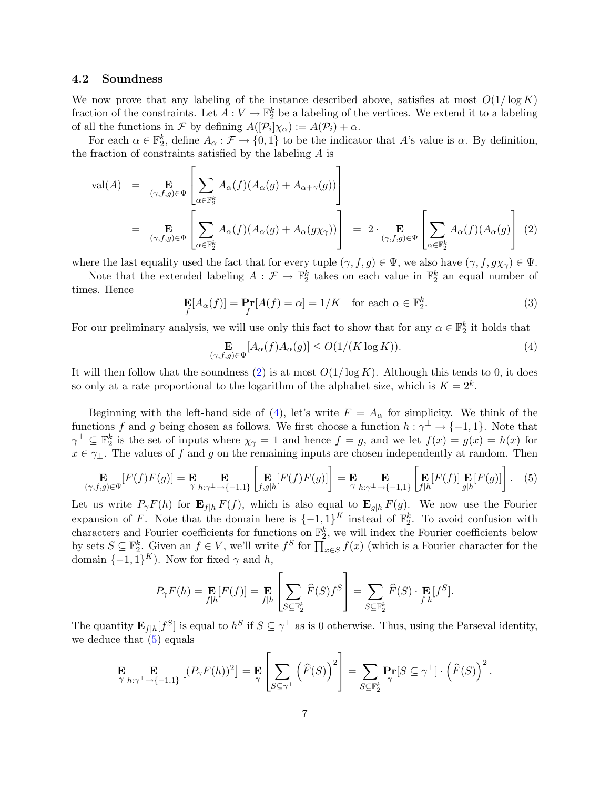#### 4.2 Soundness

We now prove that any labeling of the instance described above, satisfies at most  $O(1/\log K)$ fraction of the constraints. Let  $A: V \to \mathbb{F}_2^k$  be a labeling of the vertices. We extend it to a labeling of all the functions in F by defining  $A([\mathcal{P}_i] \chi_{\alpha}) := A(\mathcal{P}_i) + \alpha$ .

For each  $\alpha \in \mathbb{F}_2^k$ , define  $A_\alpha : \mathcal{F} \to \{0,1\}$  to be the indicator that A's value is  $\alpha$ . By definition, the fraction of constraints satisfied by the labeling  $A$  is

<span id="page-7-0"></span>
$$
\text{val}(A) = \mathop{\mathbf{E}}_{(\gamma, f, g) \in \Psi} \left[ \sum_{\alpha \in \mathbb{F}_2^k} A_{\alpha}(f) (A_{\alpha}(g) + A_{\alpha + \gamma}(g)) \right]
$$
  

$$
= \mathop{\mathbf{E}}_{(\gamma, f, g) \in \Psi} \left[ \sum_{\alpha \in \mathbb{F}_2^k} A_{\alpha}(f) (A_{\alpha}(g) + A_{\alpha}(g\chi_{\gamma})) \right] = 2 \cdot \mathop{\mathbf{E}}_{(\gamma, f, g) \in \Psi} \left[ \sum_{\alpha \in \mathbb{F}_2^k} A_{\alpha}(f) (A_{\alpha}(g)) \right] (2)
$$

where the last equality used the fact that for every tuple  $(\gamma, f, g) \in \Psi$ , we also have  $(\gamma, f, g \chi_{\gamma}) \in \Psi$ .

Note that the extended labeling  $A: \mathcal{F} \to \mathbb{F}_2^k$  takes on each value in  $\mathbb{F}_2^k$  an equal number of times. Hence

$$
\mathbf{E}[A_{\alpha}(f)] = \mathbf{P}_{f}[A(f) = \alpha] = 1/K \text{ for each } \alpha \in \mathbb{F}_{2}^{k}.
$$
 (3)

For our preliminary analysis, we will use only this fact to show that for any  $\alpha \in \mathbb{F}_2^k$  it holds that

<span id="page-7-1"></span>
$$
\mathop{\mathbf{E}}\limits_{(\gamma,f,g)\in\Psi}[A_{\alpha}(f)A_{\alpha}(g)] \le O(1/(K\log K)).\tag{4}
$$

It will then follow that the soundness  $(2)$  is at most  $O(1/\log K)$ . Although this tends to 0, it does so only at a rate proportional to the logarithm of the alphabet size, which is  $K = 2<sup>k</sup>$ .

Beginning with the left-hand side of [\(4\)](#page-7-1), let's write  $F = A_{\alpha}$  for simplicity. We think of the functions f and g being chosen as follows. We first choose a function  $h: \gamma^{\perp} \to \{-1,1\}$ . Note that  $\gamma^{\perp} \subseteq \mathbb{F}_2^k$  is the set of inputs where  $\chi_{\gamma} = 1$  and hence  $f = g$ , and we let  $f(x) = g(x) = h(x)$  for  $x \in \gamma_{\perp}$ . The values of f and g on the remaining inputs are chosen independently at random. Then

<span id="page-7-2"></span>
$$
\mathbf{E}_{(\gamma,f,g)\in\Psi}[F(f)F(g)] = \mathbf{E}_{\gamma} \mathbf{E}_{h:\gamma^{\perp}\to\{-1,1\}} \left[ \mathbf{E}_{f,g|h}[F(f)F(g)] \right] = \mathbf{E}_{\gamma} \mathbf{E}_{h:\gamma^{\perp}\to\{-1,1\}} \left[ \mathbf{E}_{f|h}[F(f)] \mathbf{E}_{g|h}[F(g)] \right]. \tag{5}
$$

Let us write  $P_{\gamma}F(h)$  for  $\mathbf{E}_{f|h}F(f)$ , which is also equal to  $\mathbf{E}_{g|h}F(g)$ . We now use the Fourier expansion of F. Note that the domain here is  $\{-1,1\}^K$  instead of  $\mathbb{F}_2^k$ . To avoid confusion with characters and Fourier coefficients for functions on  $\mathbb{F}_2^k$ , we will index the Fourier coefficients below by sets  $S \subseteq \mathbb{F}_2^k$ . Given an  $f \in V$ , we'll write  $f^S$  for  $\prod_{x \in S} f(x)$  (which is a Fourier character for the domain  $\{-1,1\}^K$ ). Now for fixed  $\gamma$  and h,

$$
P_{\gamma}F(h) = \mathop{\mathbf{E}}_{f|h}[F(f)] = \mathop{\mathbf{E}}_{f|h}\left[\sum_{S \subseteq \mathbb{F}_2^k} \widehat{F}(S)f^S\right] = \sum_{S \subseteq \mathbb{F}_2^k} \widehat{F}(S) \cdot \mathop{\mathbf{E}}_{f|h}[f^S].
$$

The quantity  $\mathbf{E}_{f|h}[f^S]$  is equal to  $h^S$  if  $S \subseteq \gamma^{\perp}$  as is 0 otherwise. Thus, using the Parseval identity, we deduce that  $(5)$  equals

$$
\mathbf{E}_{\gamma} \mathop{\mathbf{E}}_{h:\gamma^{\perp}\to\{-1,1\}} \left[ (P_{\gamma} F(h))^2 \right] = \mathop{\mathbf{E}}_{\gamma} \left[ \sum_{S \subseteq \gamma^{\perp}} \left( \widehat{F}(S) \right)^2 \right] = \sum_{S \subseteq \mathbb{F}_2^k} \mathbf{P}_{\gamma} [S \subseteq \gamma^{\perp}] \cdot \left( \widehat{F}(S) \right)^2.
$$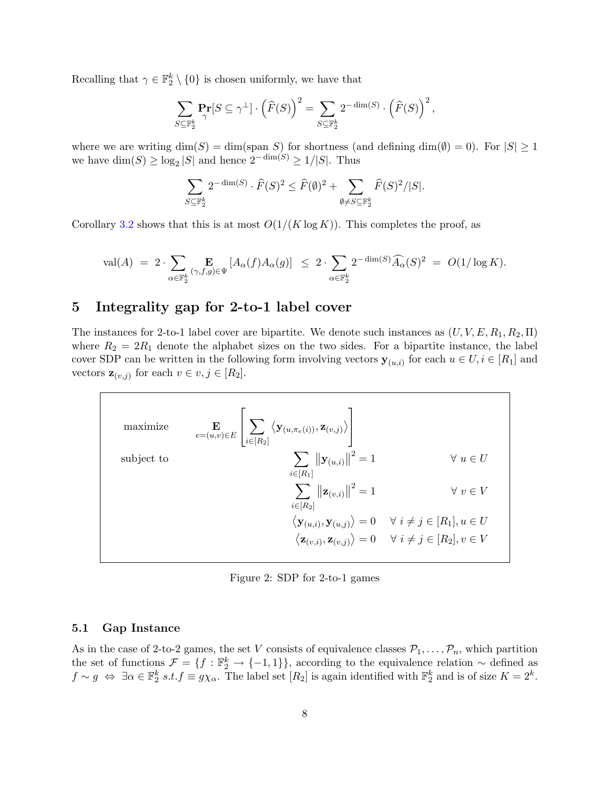Recalling that  $\gamma \in \mathbb{F}_2^k \setminus \{0\}$  is chosen uniformly, we have that

$$
\sum_{S \subseteq \mathbb{F}_2^k} \Pr_{\gamma}[S \subseteq \gamma^{\perp}] \cdot (\widehat{F}(S))^2 = \sum_{S \subseteq \mathbb{F}_2^k} 2^{-\dim(S)} \cdot (\widehat{F}(S))^2,
$$

where we are writing  $dim(S) = dim(span S)$  for shortness (and defining  $dim(\emptyset) = 0$ ). For  $|S| \ge 1$ we have  $\dim(S) \ge \log_2 |S|$  and hence  $2^{-\dim(S)} \ge 1/|S|$ . Thus

$$
\sum_{S \subseteq \mathbb{F}_2^k} 2^{-\dim(S)} \cdot \widehat{F}(S)^2 \le \widehat{F}(\emptyset)^2 + \sum_{\emptyset \ne S \subseteq \mathbb{F}_2^k} \widehat{F}(S)^2 / |S|.
$$

Corollary [3.2](#page-5-1) shows that this is at most  $O(1/(K \log K))$ . This completes the proof, as

$$
\mathrm{val}(A) \ = \ 2 \cdot \sum_{\alpha \in \mathbb{F}_2^k} \mathop{\mathbf{E}}_{(\gamma,f,g) \in \Psi} \left[ A_\alpha(f) A_\alpha(g) \right] \ \ \leq \ 2 \cdot \sum_{\alpha \in \mathbb{F}_2^k} 2^{-\dim(S)} \widehat{A_\alpha}(S)^2 \ = \ O(1/\log K).
$$

# 5 Integrality gap for 2-to-1 label cover

The instances for 2-to-1 label cover are bipartite. We denote such instances as  $(U, V, E, R_1, R_2, \Pi)$ where  $R_2 = 2R_1$  denote the alphabet sizes on the two sides. For a bipartite instance, the label cover SDP can be written in the following form involving vectors  $y_{(u,i)}$  for each  $u \in U, i \in [R_1]$  and vectors  $\mathbf{z}_{(v,j)}$  for each  $v \in v, j \in [R_2]$ .

maximize  
\n
$$
\mathbf{E} \left[ \sum_{i \in [R_2]} \left\langle \mathbf{y}_{(u, \pi_e(i))}, \mathbf{z}_{(v, j)} \right\rangle \right]
$$
\nsubject to  
\n
$$
\sum_{i \in [R_1]} ||\mathbf{y}_{(u,i)}||^2 = 1 \qquad \forall u \in U
$$
\n
$$
\sum_{i \in [R_2]} ||\mathbf{z}_{(v,i)}||^2 = 1 \qquad \forall v \in V
$$
\n
$$
\left\langle \mathbf{y}_{(u,i)}, \mathbf{y}_{(u,j)} \right\rangle = 0 \qquad \forall i \neq j \in [R_1], u \in U
$$
\n
$$
\left\langle \mathbf{z}_{(v,i)}, \mathbf{z}_{(v,j)} \right\rangle = 0 \qquad \forall i \neq j \in [R_2], v \in V
$$

<span id="page-8-0"></span>Figure 2: SDP for 2-to-1 games

#### 5.1 Gap Instance

As in the case of 2-to-2 games, the set V consists of equivalence classes  $\mathcal{P}_1, \ldots, \mathcal{P}_n$ , which partition the set of functions  $\mathcal{F} = \{f : \mathbb{F}_2^k \to \{-1,1\}\}\$ , according to the equivalence relation  $\sim$  defined as  $f \sim g \Leftrightarrow \exists \alpha \in \mathbb{F}_2^k \ s.t. f \equiv g\chi_\alpha.$  The label set  $[R_2]$  is again identified with  $\mathbb{F}_2^k$  and is of size  $K = 2^k$ .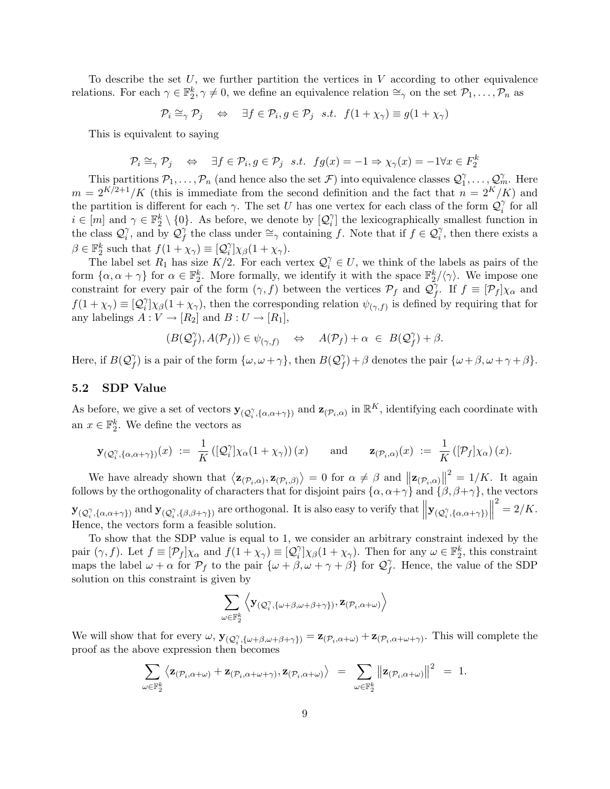To describe the set  $U$ , we further partition the vertices in  $V$  according to other equivalence relations. For each  $\gamma \in \mathbb{F}_2^k, \gamma \neq 0$ , we define an equivalence relation  $\cong_{\gamma}$  on the set  $\mathcal{P}_1, \ldots, \mathcal{P}_n$  as

$$
\mathcal{P}_i \cong_{\gamma} \mathcal{P}_j \quad \Leftrightarrow \quad \exists f \in \mathcal{P}_i, g \in \mathcal{P}_j \quad s.t. \quad f(1 + \chi_{\gamma}) \equiv g(1 + \chi_{\gamma})
$$

This is equivalent to saying

$$
\mathcal{P}_i \cong_{\gamma} \mathcal{P}_j \quad \Leftrightarrow \quad \exists f \in \mathcal{P}_i, g \in \mathcal{P}_j \quad s.t. \quad fg(x) = -1 \Rightarrow \chi_{\gamma}(x) = -1 \forall x \in F_2^k
$$

This partitions  $P_1, \ldots, P_n$  (and hence also the set  $\mathcal{F}$ ) into equivalence classes  $\mathcal{Q}_1^{\gamma}$  $\gamma_1^{\gamma}, \ldots, \mathcal{Q}_m^{\gamma}$ . Here  $m = 2^{K/2+1}/K$  (this is immediate from the second definition and the fact that  $n = 2^{K}/K$ ) and the partition is different for each  $\gamma$ . The set U has one vertex for each class of the form  $\mathcal{Q}_i^{\gamma}$  $i$ <sup> $\gamma$ </sup> for all  $i \in [m]$  and  $\gamma \in \mathbb{F}_2^k \setminus \{0\}$ . As before, we denote by  $[Q_i^{\gamma}]$  $\hat{i}$  the lexicographically smallest function in the class  $\mathcal{Q}_i^{\gamma}$  $\hat{Q}_f^{\gamma}$ , and by  $\mathcal{Q}_f^{\gamma}$ f the class under  $\cong_{\gamma}$  containing f. Note that if  $f \in \mathcal{Q}^{\gamma}_i$ , then there exists a  $\beta \in \mathbb{F}_2^k$  such that  $f(1 + \chi_\gamma) \equiv [Q_i^\gamma]$  $\int_{i}^{\gamma} \left| \chi_{\beta}(1+\chi_{\gamma}) \right|$ .

The label set  $R_1$  has size  $K/2$ . For each vertex  $\mathcal{Q}_i^{\gamma} \in U$ , we think of the labels as pairs of the form  $\{\alpha,\alpha+\gamma\}$  for  $\alpha \in \mathbb{F}_2^k$ . More formally, we identify it with the space  $\mathbb{F}_2^k/\langle\gamma\rangle$ . We impose one constraint for every pair of the form  $(\gamma, f)$  between the vertices  $\mathcal{P}_f$  and  $\mathcal{Q}_f^{\gamma}$  $\hat{f}$ . If  $f \equiv [\mathcal{P}_f] \chi_\alpha$  and  $f(1+\chi_\gamma) \equiv [Q_i^\gamma]$  $\hat{\psi}_{\gamma}^{(1)}(\chi_{\beta}(1+\chi_{\gamma}))$ , then the corresponding relation  $\psi_{(\gamma,f)}$  is defined by requiring that for any labelings  $A: V \to [R_2]$  and  $B: U \to [R_1]$ ,

$$
(B({\mathcal{Q}}_f^\gamma), A({\mathcal{P}}_f)) \in \psi_{(\gamma,f)} \quad \Leftrightarrow \quad A({\mathcal{P}}_f) + \alpha \ \in \ B({\mathcal{Q}}_f^\gamma) + \beta.
$$

Here, if  $B(\mathcal{Q}_f^\gamma)$  $f(\gamma)$  is a pair of the form  $\{\omega, \omega + \gamma\}$ , then  $B(\mathcal{Q})^{\gamma}$  $f(\gamma) + \beta$  denotes the pair  $\{\omega + \beta, \omega + \gamma + \beta\}.$ 

### 5.2 SDP Value

As before, we give a set of vectors  $\mathbf{y}_{(Q_i^{\gamma}, \{\alpha, \alpha + \gamma\})}$  and  $\mathbf{z}_{(P_i,\alpha)}$  in  $\mathbb{R}^K$ , identifying each coordinate with an  $x \in \mathbb{F}_2^k$ . We define the vectors as

$$
\mathbf{y}_{(\mathcal{Q}_i^{\gamma}, \{\alpha,\alpha+\gamma\})}(x) \; := \; \frac{1}{K}\left([\mathcal{Q}_i^{\gamma}]\chi_{\alpha}(1+\chi_{\gamma})\right)(x) \qquad \text{and} \qquad \mathbf{z}_{(\mathcal{P}_i,\alpha)}(x) \; := \; \frac{1}{K}\left([\mathcal{P}_f]\chi_{\alpha}\right)(x).
$$

We have already shown that  $\langle \mathbf{z}_{(\mathcal{P}_i,\alpha)}, \mathbf{z}_{(\mathcal{P}_i,\beta)} \rangle = 0$  for  $\alpha \neq \beta$  and  $\|\mathbf{z}_{(\mathcal{P}_i,\alpha)}\|^2 = 1/K$ . It again follows by the orthogonality of characters that for disjoint pairs  $\{\alpha,\alpha+\gamma\}$  and  $\{\beta,\beta+\gamma\}$ , the vectors  $\mathbf{y}_{(\mathcal{Q}_{i}^{\gamma}, \{\alpha,\alpha+\gamma\})}$  and  $\mathbf{y}_{(\mathcal{Q}_{i}^{\gamma}, \{\beta,\beta+\gamma\})}$  are orthogonal. It is also easy to verify that  $\|\mathbf{y}_{(\mathcal{Q}_{i}^{\gamma}, \{\alpha,\alpha+\gamma\})}\|$  $2^{2} = 2/K$ . Hence, the vectors form a feasible solution.

To show that the SDP value is equal to 1, we consider an arbitrary constraint indexed by the pair  $(\gamma, f)$ . Let  $f \equiv [\mathcal{P}_f] \chi_\alpha$  and  $f(1 + \chi_\gamma) \equiv [\mathcal{Q}_i]$  $\gamma_1^{\gamma_1} \chi_{\beta}(1 + \chi_{\gamma})$ . Then for any  $\omega \in \mathbb{F}_2^k$ , this constraint maps the label  $\omega + \alpha$  for  $\mathcal{P}_f$  to the pair  $\{\omega + \beta, \omega + \gamma + \beta\}$  for  $\mathcal{Q}_f^{\gamma}$  $\tilde{f}$ . Hence, the value of the SDP solution on this constraint is given by

$$
\sum_{\omega \in \mathbb{F}_2^k} \left\langle \mathbf{y}_{(\mathcal{Q}_i^\gamma, \{\omega + \beta, \omega + \beta + \gamma\})}, \mathbf{z}_{(\mathcal{P}_i, \alpha + \omega)} \right\rangle
$$

We will show that for every  $\omega$ ,  $\mathbf{y}_{(\mathcal{Q}_i^{\gamma}, {\{\omega+\beta+\gamma\}})} = \mathbf{z}_{(\mathcal{P}_i, \alpha+\omega)} + \mathbf{z}_{(\mathcal{P}_i, \alpha+\omega+\gamma)}$ . This will complete the proof as the above expression then becomes

$$
\sum_{\omega \in \mathbb{F}_2^k} \langle \mathbf{z}_{(\mathcal{P}_i, \alpha+\omega)} + \mathbf{z}_{(\mathcal{P}_i, \alpha+\omega+\gamma)}, \mathbf{z}_{(\mathcal{P}_i, \alpha+\omega)} \rangle = \sum_{\omega \in \mathbb{F}_2^k} ||\mathbf{z}_{(\mathcal{P}_i, \alpha+\omega)}||^2 = 1.
$$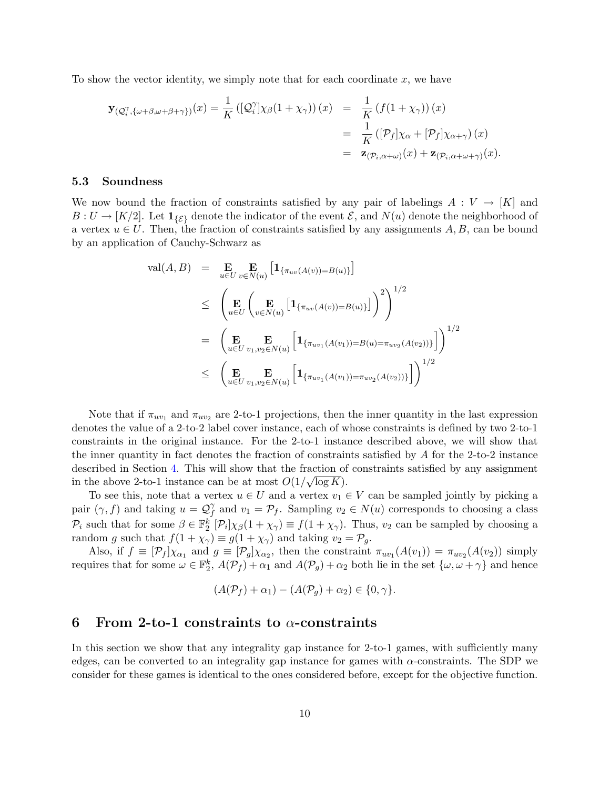To show the vector identity, we simply note that for each coordinate  $x$ , we have

$$
\begin{split} \mathbf{y}_{(\mathcal{Q}_{i}^{\gamma},\{\omega+\beta+\gamma\})}(x) &= \frac{1}{K} \left( [\mathcal{Q}_{i}^{\gamma}] \chi_{\beta}(1+\chi_{\gamma}) \right)(x) &= \frac{1}{K} \left( f(1+\chi_{\gamma}) \right)(x) \\ &= \frac{1}{K} \left( [\mathcal{P}_{f}] \chi_{\alpha} + [\mathcal{P}_{f}] \chi_{\alpha+\gamma} \right)(x) \\ &= \mathbf{z}_{(\mathcal{P}_{i},\alpha+\omega)}(x) + \mathbf{z}_{(\mathcal{P}_{i},\alpha+\omega+\gamma)}(x). \end{split}
$$

#### 5.3 Soundness

We now bound the fraction of constraints satisfied by any pair of labelings  $A: V \to [K]$  and  $B: U \to [K/2]$ . Let  $\mathbf{1}_{\{\mathcal{E}\}}$  denote the indicator of the event  $\mathcal{E}$ , and  $N(u)$  denote the neighborhood of a vertex  $u \in U$ . Then, the fraction of constraints satisfied by any assignments A, B, can be bound by an application of Cauchy-Schwarz as

$$
\text{val}(A, B) = \mathbf{E}_{u \in U} \mathbf{E}_{v \in N(u)} \left[ \mathbf{1}_{\{\pi_{uv}(A(v)) = B(u)\}} \right]
$$
\n
$$
\leq \left( \mathbf{E}_{u \in U} \left( \mathbf{E}_{v \in N(u)} \left[ \mathbf{1}_{\{\pi_{uv}(A(v)) = B(u)\}} \right] \right)^2 \right)^{1/2}
$$
\n
$$
= \left( \mathbf{E}_{u \in U} \mathbf{E}_{v_1, v_2 \in N(u)} \left[ \mathbf{1}_{\{\pi_{uv_1}(A(v_1)) = B(u) = \pi_{uv_2}(A(v_2))\}} \right] \right)^{1/2}
$$
\n
$$
\leq \left( \mathbf{E}_{u \in U} \mathbf{E}_{v_1, v_2 \in N(u)} \left[ \mathbf{1}_{\{\pi_{uv_1}(A(v_1)) = \pi_{uv_2}(A(v_2))\}} \right] \right)^{1/2}
$$

Note that if  $\pi_{uv_1}$  and  $\pi_{uv_2}$  are 2-to-1 projections, then the inner quantity in the last expression denotes the value of a 2-to-2 label cover instance, each of whose constraints is defined by two 2-to-1 constraints in the original instance. For the 2-to-1 instance described above, we will show that the inner quantity in fact denotes the fraction of constraints satisfied by A for the 2-to-2 instance described in Section [4.](#page-5-2) This will show that the fraction of constraints satisfied by any assignment in the above 2-to-1 instance can be at most  $O(1/\sqrt{\log K})$ .

To see this, note that a vertex  $u \in U$  and a vertex  $v_1 \in V$  can be sampled jointly by picking a pair  $(\gamma, f)$  and taking  $u = \mathcal{Q}_f^{\gamma}$  $f_f$  and  $v_1 = \mathcal{P}_f$ . Sampling  $v_2 \in N(u)$  corresponds to choosing a class  $\mathcal{P}_i$  such that for some  $\beta \in \mathbb{F}_2^k$   $[\mathcal{P}_i] \chi_{\beta}(1 + \chi_{\gamma}) \equiv f(1 + \chi_{\gamma})$ . Thus,  $v_2$  can be sampled by choosing a random g such that  $f(1 + \chi_{\gamma}) \equiv g(1 + \chi_{\gamma})$  and taking  $v_2 = \mathcal{P}_g$ .

Also, if  $f \equiv [\mathcal{P}_f]\chi_{\alpha_1}$  and  $g \equiv [\mathcal{P}_g]\chi_{\alpha_2}$ , then the constraint  $\pi_{uv_1}(A(v_1)) = \pi_{uv_2}(A(v_2))$  simply requires that for some  $\omega \in \mathbb{F}_2^k$ ,  $A(\mathcal{P}_f) + \alpha_1$  and  $A(\mathcal{P}_g) + \alpha_2$  both lie in the set  $\{\omega, \omega + \gamma\}$  and hence

$$
(A(\mathcal{P}_f) + \alpha_1) - (A(\mathcal{P}_g) + \alpha_2) \in \{0, \gamma\}.
$$

### 6 From 2-to-1 constraints to  $\alpha$ -constraints

In this section we show that any integrality gap instance for 2-to-1 games, with sufficiently many edges, can be converted to an integrality gap instance for games with  $\alpha$ -constraints. The SDP we consider for these games is identical to the ones considered before, except for the objective function.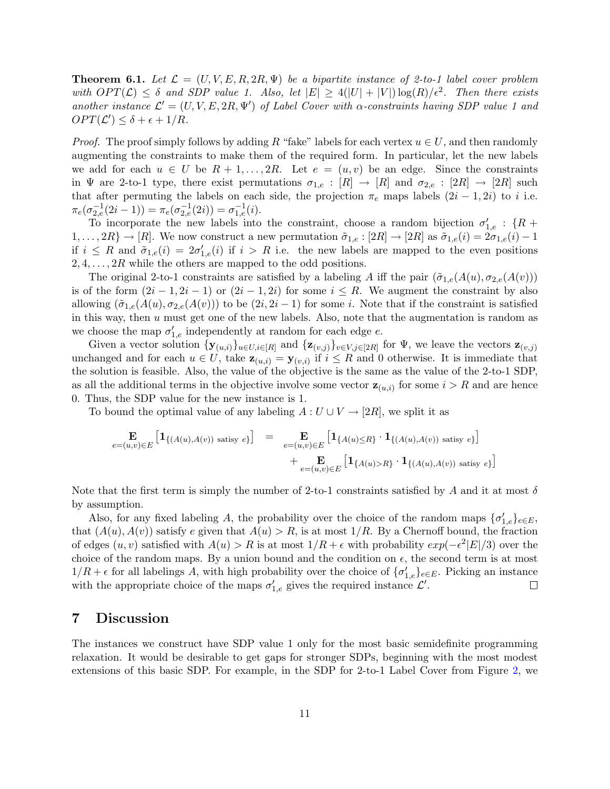**Theorem 6.1.** Let  $\mathcal{L} = (U, V, E, R, 2R, \Psi)$  be a bipartite instance of 2-to-1 label cover problem with  $OPT(\mathcal{L}) \leq \delta$  and SDP value 1. Also, let  $|E| \geq 4(|U| + |V|) \log(R)/\epsilon^2$ . Then there exists another instance  $\mathcal{L}' = (U, V, E, 2R, \Psi')$  of Label Cover with  $\alpha$ -constraints having SDP value 1 and  $OPT(\mathcal{L}') \leq \delta + \epsilon + 1/R$ .

*Proof.* The proof simply follows by adding R "fake" labels for each vertex  $u \in U$ , and then randomly augmenting the constraints to make them of the required form. In particular, let the new labels we add for each  $u \in U$  be  $R + 1, \ldots, 2R$ . Let  $e = (u, v)$  be an edge. Since the constraints in  $\Psi$  are 2-to-1 type, there exist permutations  $\sigma_{1,e} : [R] \to [R]$  and  $\sigma_{2,e} : [2R] \to [2R]$  such that after permuting the labels on each side, the projection  $\pi_e$  maps labels  $(2i - 1, 2i)$  to i i.e.  $\pi_e(\sigma_{2,e}^{-1}(2i-1)) = \pi_e(\sigma_{2,e}^{-1}(2i)) = \sigma_{1,e}^{-1}(i).$ 

To incorporate the new labels into the constraint, choose a random bijection  $\sigma'_{1,e}$ :  $\{R+e^{\beta}\}$  $1, \ldots, 2R$  → [R]. We now construct a new permutation  $\tilde{\sigma}_{1,e}: [2R] \to [2R]$  as  $\tilde{\sigma}_{1,e}(i) = 2\sigma_{1,e}(i) - 1$ if  $i \leq R$  and  $\tilde{\sigma}_{1,e}(i) = 2\sigma'_{1,e}(i)$  if  $i > R$  i.e. the new labels are mapped to the even positions  $2, 4, \ldots, 2R$  while the others are mapped to the odd positions.

The original 2-to-1 constraints are satisfied by a labeling A iff the pair  $(\tilde{\sigma}_{1,e}(A(u), \sigma_{2,e}(A(v)))$ is of the form  $(2i - 1, 2i - 1)$  or  $(2i - 1, 2i)$  for some  $i \leq R$ . We augment the constraint by also allowing  $(\tilde{\sigma}_{1,e}(A(u), \sigma_{2,e}(A(v)))$  to be  $(2i, 2i-1)$  for some i. Note that if the constraint is satisfied in this way, then  $u$  must get one of the new labels. Also, note that the augmentation is random as we choose the map  $\sigma'_{1,e}$  independently at random for each edge e.

Given a vector solution  $\{y_{(u,i)}\}_{u\in U,i\in [R]}$  and  $\{z_{(v,j)}\}_{v\in V,j\in [2R]}$  for  $\Psi$ , we leave the vectors  $z_{(v,j)}$ unchanged and for each  $u \in U$ , take  $\mathbf{z}_{(u,i)} = \mathbf{y}_{(v,i)}$  if  $i \leq R$  and 0 otherwise. It is immediate that the solution is feasible. Also, the value of the objective is the same as the value of the 2-to-1 SDP, as all the additional terms in the objective involve some vector  $z_{(u,i)}$  for some  $i > R$  and are hence 0. Thus, the SDP value for the new instance is 1.

To bound the optimal value of any labeling  $A: U \cup V \rightarrow [2R]$ , we split it as

$$
\mathbf{E}_{e=(u,v)\in E} \left[ \mathbf{1}_{\{(A(u),A(v)) \text{ satisfy } e\}} \right] = \mathbf{E}_{e=(u,v)\in E} \left[ \mathbf{1}_{\{A(u)\leq R\}} \cdot \mathbf{1}_{\{(A(u),A(v)) \text{ satisfy } e\}} \right] + \mathbf{E}_{e=(u,v)\in E} \left[ \mathbf{1}_{\{A(u)>R\}} \cdot \mathbf{1}_{\{(A(u),A(v)) \text{ satisfy } e\}} \right]
$$

Note that the first term is simply the number of 2-to-1 constraints satisfied by A and it at most  $\delta$ by assumption.

Also, for any fixed labeling A, the probability over the choice of the random maps  $\{\sigma'_{1,e}\}_{e \in E}$ , that  $(A(u), A(v))$  satisfy e given that  $A(u) > R$ , is at most  $1/R$ . By a Chernoff bound, the fraction of edges  $(u, v)$  satisfied with  $A(u) > R$  is at most  $1/R + \epsilon$  with probability  $exp(-\epsilon^2 |E|/3)$  over the choice of the random maps. By a union bound and the condition on  $\epsilon$ , the second term is at most  $1/R + \epsilon$  for all labelings A, with high probability over the choice of  $\{\sigma'_{1,e}\}_{e \in E}$ . Picking an instance with the appropriate choice of the maps  $\sigma'_{1,e}$  gives the required instance  $\mathcal{L}'$ .  $\Box$ 

# 7 Discussion

The instances we construct have SDP value 1 only for the most basic semidefinite programming relaxation. It would be desirable to get gaps for stronger SDPs, beginning with the most modest extensions of this basic SDP. For example, in the SDP for 2-to-1 Label Cover from Figure [2,](#page-8-0) we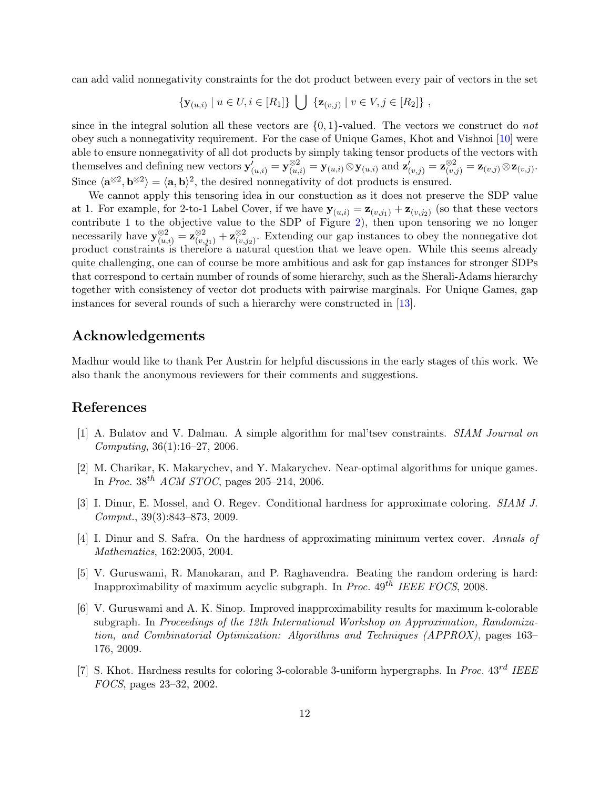can add valid nonnegativity constraints for the dot product between every pair of vectors in the set

$$
\{ \mathbf{y}_{(u,i)} \mid u \in U, i \in [R_1] \} \bigcup \{ \mathbf{z}_{(v,j)} \mid v \in V, j \in [R_2] \},
$$

since in the integral solution all these vectors are  $\{0,1\}$ -valued. The vectors we construct do not obey such a nonnegativity requirement. For the case of Unique Games, Khot and Vishnoi [\[10\]](#page-13-4) were able to ensure nonnegativity of all dot products by simply taking tensor products of the vectors with themselves and defining new vectors  $\mathbf{y}'_{(u,i)} = \mathbf{y}^{\otimes 2}_{(u,i)} = \mathbf{y}_{(u,i)} \otimes \mathbf{y}_{(u,i)}$  and  $\mathbf{z}'_{(v,j)} = \mathbf{z}^{\otimes 2}_{(v,j)} = \mathbf{z}_{(v,j)} \otimes \mathbf{z}_{(v,j)}$ . Since  $\langle \mathbf{a}^{\otimes 2}, \mathbf{b}^{\otimes 2} \rangle = \langle \mathbf{a}, \mathbf{b} \rangle^2$ , the desired nonnegativity of dot products is ensured.

We cannot apply this tensoring idea in our constuction as it does not preserve the SDP value at 1. For example, for 2-to-1 Label Cover, if we have  $\mathbf{y}_{(u,i)} = \mathbf{z}_{(v,j_1)} + \mathbf{z}_{(v,j_2)}$  (so that these vectors contribute 1 to the objective value to the SDP of Figure [2\)](#page-8-0), then upon tensoring we no longer necessarily have  $\mathbf{y}_{(u,i)}^{\otimes 2} = \mathbf{z}_{(v,j_1)}^{\otimes 2} + \mathbf{z}_{(v_n)}^{\otimes 2}$  $\frac{\otimes 2}{(v,j_2)}$ . Extending our gap instances to obey the nonnegative dot product constraints is therefore a natural question that we leave open. While this seems already quite challenging, one can of course be more ambitious and ask for gap instances for stronger SDPs that correspond to certain number of rounds of some hierarchy, such as the Sherali-Adams hierarchy together with consistency of vector dot products with pairwise marginals. For Unique Games, gap instances for several rounds of such a hierarchy were constructed in [\[13\]](#page-13-5).

# Acknowledgements

Madhur would like to thank Per Austrin for helpful discussions in the early stages of this work. We also thank the anonymous reviewers for their comments and suggestions.

# References

- [1] A. Bulatov and V. Dalmau. A simple algorithm for mal'tsev constraints. SIAM Journal on Computing, 36(1):16–27, 2006.
- <span id="page-12-4"></span>[2] M. Charikar, K. Makarychev, and Y. Makarychev. Near-optimal algorithms for unique games. In *Proc.*  $38^{th}$  *ACM STOC*, pages 205–214, 2006.
- <span id="page-12-0"></span>[3] I. Dinur, E. Mossel, and O. Regev. Conditional hardness for approximate coloring. SIAM J. Comput., 39(3):843–873, 2009.
- <span id="page-12-1"></span>[4] I. Dinur and S. Safra. On the hardness of approximating minimum vertex cover. Annals of Mathematics, 162:2005, 2004.
- <span id="page-12-5"></span>[5] V. Guruswami, R. Manokaran, and P. Raghavendra. Beating the random ordering is hard: Inapproximability of maximum acyclic subgraph. In Proc.  $49^{th}$  IEEE FOCS, 2008.
- <span id="page-12-2"></span>[6] V. Guruswami and A. K. Sinop. Improved inapproximability results for maximum k-colorable subgraph. In Proceedings of the 12th International Workshop on Approximation, Randomization, and Combinatorial Optimization: Algorithms and Techniques (APPROX), pages 163– 176, 2009.
- <span id="page-12-3"></span>[7] S. Khot. Hardness results for coloring 3-colorable 3-uniform hypergraphs. In Proc.  $43^{rd}$  IEEE FOCS, pages 23–32, 2002.